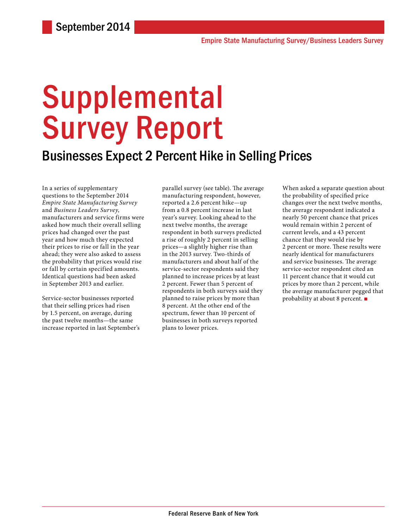# **Supplemental** Survey Report

### Businesses Expect 2 Percent Hike in Selling Prices

In a series of supplementary questions to the September 2014 *Empire State Manufacturing Survey* and *Business Leaders Survey*, manufacturers and service firms were asked how much their overall selling prices had changed over the past year and how much they expected their prices to rise or fall in the year ahead; they were also asked to assess the probability that prices would rise or fall by certain specified amounts. Identical questions had been asked in September 2013 and earlier.

Service-sector businesses reported that their selling prices had risen by 1.5 percent, on average, during the past twelve months—the same increase reported in last September's parallel survey (see table). The average manufacturing respondent, however, reported a 2.6 percent hike—up from a 0.8 percent increase in last year's survey. Looking ahead to the next twelve months, the average respondent in both surveys predicted a rise of roughly 2 percent in selling prices—a slightly higher rise than in the 2013 survey. Two-thirds of manufacturers and about half of the service-sector respondents said they planned to increase prices by at least 2 percent. Fewer than 5 percent of respondents in both surveys said they planned to raise prices by more than 8 percent. At the other end of the spectrum, fewer than 10 percent of businesses in both surveys reported plans to lower prices.

When asked a separate question about the probability of specified price changes over the next twelve months, the average respondent indicated a nearly 50 percent chance that prices would remain within 2 percent of current levels, and a 43 percent chance that they would rise by 2 percent or more. These results were nearly identical for manufacturers and service businesses. The average service-sector respondent cited an 11 percent chance that it would cut prices by more than 2 percent, while the average manufacturer pegged that probability at about 8 percent. ■